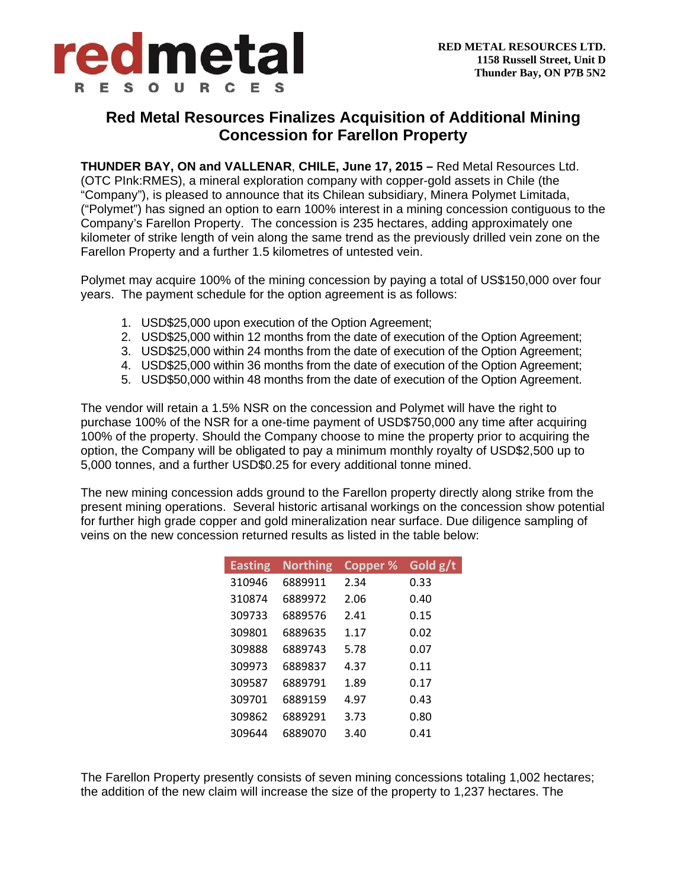

## **Red Metal Resources Finalizes Acquisition of Additional Mining Concession for Farellon Property**

**THUNDER BAY, ON and VALLENAR**, **CHILE, June 17, 2015 –** Red Metal Resources Ltd. (OTC PInk:RMES), a mineral exploration company with copper-gold assets in Chile (the "Company"), is pleased to announce that its Chilean subsidiary, Minera Polymet Limitada, ("Polymet") has signed an option to earn 100% interest in a mining concession contiguous to the Company's Farellon Property. The concession is 235 hectares, adding approximately one kilometer of strike length of vein along the same trend as the previously drilled vein zone on the Farellon Property and a further 1.5 kilometres of untested vein.

Polymet may acquire 100% of the mining concession by paying a total of US\$150,000 over four years. The payment schedule for the option agreement is as follows:

- 1. USD\$25,000 upon execution of the Option Agreement;
- 2. USD\$25,000 within 12 months from the date of execution of the Option Agreement;
- 3. USD\$25,000 within 24 months from the date of execution of the Option Agreement;
- 4. USD\$25,000 within 36 months from the date of execution of the Option Agreement;
- 5. USD\$50,000 within 48 months from the date of execution of the Option Agreement.

The vendor will retain a 1.5% NSR on the concession and Polymet will have the right to purchase 100% of the NSR for a one-time payment of USD\$750,000 any time after acquiring 100% of the property. Should the Company choose to mine the property prior to acquiring the option, the Company will be obligated to pay a minimum monthly royalty of USD\$2,500 up to 5,000 tonnes, and a further USD\$0.25 for every additional tonne mined.

The new mining concession adds ground to the Farellon property directly along strike from the present mining operations. Several historic artisanal workings on the concession show potential for further high grade copper and gold mineralization near surface. Due diligence sampling of veins on the new concession returned results as listed in the table below:

| <b>Easting</b> | <b>Northing</b> | <b>Copper %</b> | Gold g/t |
|----------------|-----------------|-----------------|----------|
| 310946         | 6889911         | 2.34            | 0.33     |
| 310874         | 6889972         | 2.06            | 0.40     |
| 309733         | 6889576         | 2.41            | 0.15     |
| 309801         | 6889635         | 1.17            | 0.02     |
| 309888         | 6889743         | 5.78            | 0.07     |
| 309973         | 6889837         | 4.37            | 0.11     |
| 309587         | 6889791         | 1.89            | 0.17     |
| 309701         | 6889159         | 4.97            | 0.43     |
| 309862         | 6889291         | 3.73            | 0.80     |
| 309644         | 6889070         | 3.40            | 0.41     |

The Farellon Property presently consists of seven mining concessions totaling 1,002 hectares; the addition of the new claim will increase the size of the property to 1,237 hectares. The